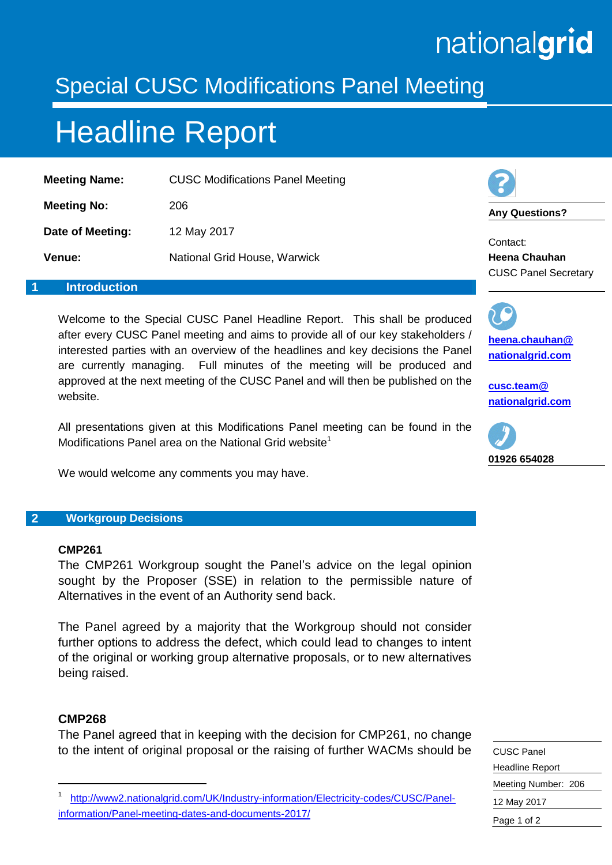# nationalgrid

### Special CUSC Modifications Panel Meeting

## Headline Report

| <b>Meeting Name:</b> | <b>CUSC Modifications Panel Meeting</b> |
|----------------------|-----------------------------------------|
| <b>Meeting No:</b>   | 206                                     |
| Date of Meeting:     | 12 May 2017                             |
| <b>Venue:</b>        | National Grid House, Warwick            |



**Any Questions?**

Contact: **Heena Chauhan** CUSC Panel Secretary

#### **1 Introduction**

Welcome to the Special CUSC Panel Headline Report. This shall be produced after every CUSC Panel meeting and aims to provide all of our key stakeholders / interested parties with an overview of the headlines and key decisions the Panel are currently managing. Full minutes of the meeting will be produced and approved at the next meeting of the CUSC Panel and will then be published on the website.

All presentations given at this Modifications Panel meeting can be found in the Modifications Panel area on the National Grid website<sup>1</sup>

We would welcome any comments you may have.

#### **2 Workgroup Decisions**

#### **CMP261**

The CMP261 Workgroup sought the Panel's advice on the legal opinion sought by the Proposer (SSE) in relation to the permissible nature of Alternatives in the event of an Authority send back.

The Panel agreed by a majority that the Workgroup should not consider further options to address the defect, which could lead to changes to intent of the original or working group alternative proposals, or to new alternatives being raised.

#### **CMP268**

-

The Panel agreed that in keeping with the decision for CMP261, no change to the intent of original proposal or the raising of further WACMs should be



**[cusc.team@](mailto:cusc.team@%20nationalgrid.com)  [nationalgrid.com](mailto:cusc.team@%20nationalgrid.com)**



| <b>CUSC Panel</b>      |  |
|------------------------|--|
| <b>Headline Report</b> |  |
| Meeting Number: 206    |  |
| 12 May 2017            |  |
| Page 1 of 2            |  |
|                        |  |

<sup>1</sup> [http://www2.nationalgrid.com/UK/Industry-information/Electricity-codes/CUSC/Panel](http://www2.nationalgrid.com/UK/Industry-information/Electricity-codes/CUSC/Panel-information/Panel-meeting-dates-and-documents-2017/)[information/Panel-meeting-dates-and-documents-2017/](http://www2.nationalgrid.com/UK/Industry-information/Electricity-codes/CUSC/Panel-information/Panel-meeting-dates-and-documents-2017/)